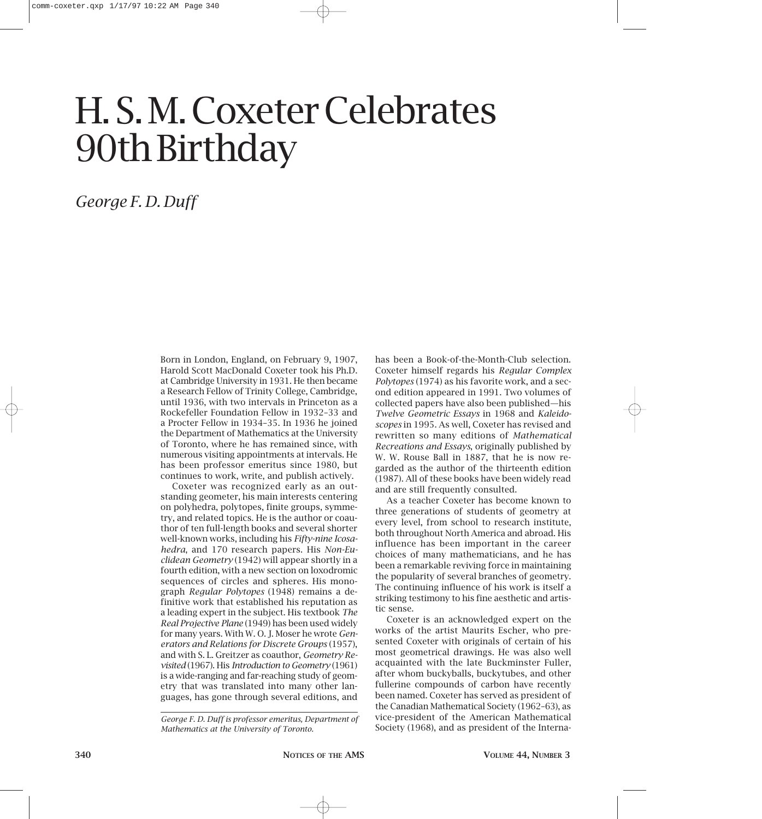# H. S. M. Coxeter Celebrates 90th Birthday

*George F. D. Duff*

Born in London, England, on February 9, 1907, Harold Scott MacDonald Coxeter took his Ph.D. at Cambridge University in 1931. He then became a Research Fellow of Trinity College, Cambridge, until 1936, with two intervals in Princeton as a Rockefeller Foundation Fellow in 1932–33 and a Procter Fellow in 1934–35. In 1936 he joined the Department of Mathematics at the University of Toronto, where he has remained since, with numerous visiting appointments at intervals. He has been professor emeritus since 1980, but continues to work, write, and publish actively.

Coxeter was recognized early as an outstanding geometer, his main interests centering on polyhedra, polytopes, finite groups, symmetry, and related topics. He is the author or coauthor of ten full-length books and several shorter well-known works, including his *Fifty-nine Icosahedra*, and 170 research papers. His *Non-Euclidean Geometry* (1942) will appear shortly in a fourth edition, with a new section on loxodromic sequences of circles and spheres. His monograph *Regular Polytopes* (1948) remains a definitive work that established his reputation as a leading expert in the subject. His textbook *The Real Projective Plane* (1949) has been used widely for many years. With W. O. J. Moser he wrote *Generators and Relations for Discrete Groups* (1957), and with S. L. Greitzer as coauthor, *Geometry Revisited* (1967). His *Introduction to Geometry* (1961) is a wide-ranging and far-reaching study of geometry that was translated into many other languages, has gone through several editions, and

*George F. D. Duff is professor emeritus, Department of Mathematics at the University of Toronto.*

has been a Book-of-the-Month-Club selection. Coxeter himself regards his *Regular Complex Polytopes* (1974) as his favorite work, and a second edition appeared in 1991. Two volumes of collected papers have also been published—his *Twelve Geometric Essays* in 1968 and *Kaleidoscopes* in 1995. As well, Coxeter has revised and rewritten so many editions of *Mathematical Recreations and Essays*, originally published by W. W. Rouse Ball in 1887, that he is now regarded as the author of the thirteenth edition (1987). All of these books have been widely read and are still frequently consulted.

As a teacher Coxeter has become known to three generations of students of geometry at every level, from school to research institute, both throughout North America and abroad. His influence has been important in the career choices of many mathematicians, and he has been a remarkable reviving force in maintaining the popularity of several branches of geometry. The continuing influence of his work is itself a striking testimony to his fine aesthetic and artistic sense.

Coxeter is an acknowledged expert on the works of the artist Maurits Escher, who presented Coxeter with originals of certain of his most geometrical drawings. He was also well acquainted with the late Buckminster Fuller, after whom buckyballs, buckytubes, and other fullerine compounds of carbon have recently been named. Coxeter has served as president of the Canadian Mathematical Society (1962–63), as vice-president of the American Mathematical Society (1968), and as president of the Interna